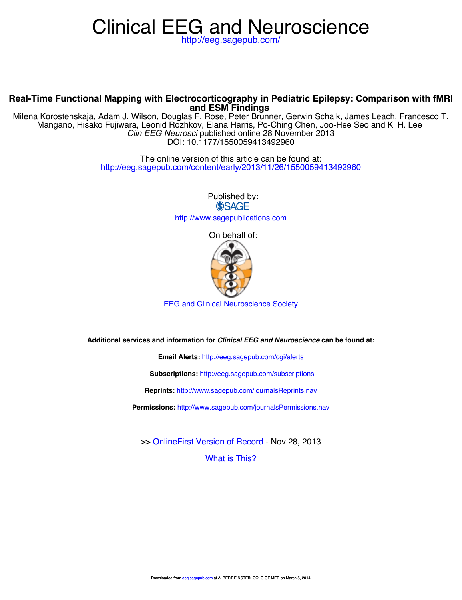# Clinical EEG and Neuroscience

<http://eeg.sagepub.com/>

# **and ESM Findings Real-Time Functional Mapping with Electro[corticography in Pediatric](http://eeg.sagepub.com/cgi/alerts) Epilepsy: Comparison with fMRI**

DOI: 10.[1177/1550059413492960](http://eeg.sagepub.com/subscriptions) *Clin EEG Neurosci* published online 28 November 2013 Mangano, Hisako Fujiwara, Leonid Rozhkov, Elana Harris, Po-Ching Chen, Joo-Hee Seo and Ki H. Lee Milena Korostenskaja, Adam J. Wilson, Douglas F. Rose, Peter Brunner, Gerwin Schalk, James Leach, Francesco T.

> [http://eeg.sagepub.c](http://eeg.sagepub.com/content/early/2013/11/26/1550059413492960)[om/content/early/2013/11/26/1550059](http://www.sagepub.com/journalsReprints.nav)[413492960](http://eeg.sagepub.com/content/early/2013/11/26/1550059413492960) The online version of this article can be found at:

> > [Published by:](http://www.sagepub.com/journalsPermissions.nav)<br>
> > SAGE <http://www.sagepublications.com>

> > > On behalf of:



EEG and Clinical Neuroscience Society

**Additional services and information for** *Clinical EEG and Neuroscience* **can be found at:**

**Email Alerts:** <http://eeg.sagepub.com/cgi/alerts>

**Subscriptions:** <http://eeg.sagepub.com/subscriptions>

**Reprints:** <http://www.sagepub.com/journalsReprints.nav>

**Permissions:** <http://www.sagepub.com/journalsPermissions.nav>

>> [OnlineFirst Version of Record -](http://eeg.sagepub.com/content/early/2013/11/26/1550059413492960.full.pdf) Nov 28, 2013

[What is This?](http://online.sagepub.com/site/sphelp/vorhelp.xhtml)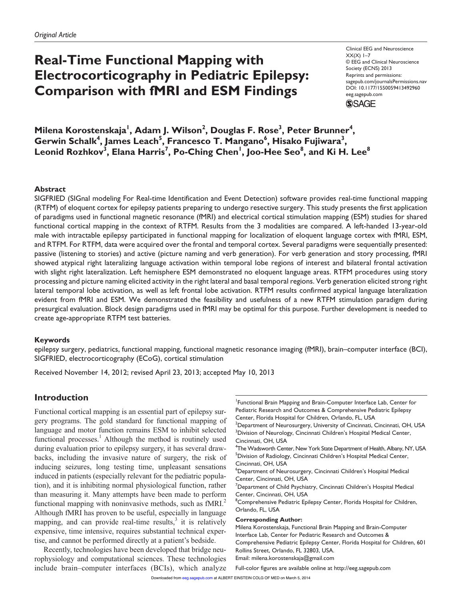# **Real-Time Functional Mapping with Electrocorticography in Pediatric Epilepsy: Comparison with fMRI and ESM Findings**

Clinical EEG and Neuroscience  $XX(X)$  1–7 © EEG and Clinical Neuroscience Society (ECNS) 2013 Reprints and permissions: sagepub.com/journalsPermissions.nav DOI: 10.1177/1550059413492960 eeg.sagepub.com (\$)SAGE

**Milena Korostenskaja<sup>l</sup>, Adam J. Wilson<sup>2</sup>, Douglas F. Rose<sup>3</sup>, Peter Brunner<sup>4</sup>,** Gerwin Schalk<sup>4</sup>, James Leach<sup>5</sup>, Francesco T. Mangano<sup>6</sup>, Hisako Fujiwara<sup>3</sup>, **Leonid Rozhkov<sup>3</sup> , Elana Harris7 , Po-Ching Chen1 , Joo-Hee Seo8 , and Ki H. Lee8**

#### **Abstract**

SIGFRIED (SIGnal modeling For Real-time Identification and Event Detection) software provides real-time functional mapping (RTFM) of eloquent cortex for epilepsy patients preparing to undergo resective surgery. This study presents the first application of paradigms used in functional magnetic resonance (fMRI) and electrical cortical stimulation mapping (ESM) studies for shared functional cortical mapping in the context of RTFM. Results from the 3 modalities are compared. A left-handed 13-year-old male with intractable epilepsy participated in functional mapping for localization of eloquent language cortex with fMRI, ESM, and RTFM. For RTFM, data were acquired over the frontal and temporal cortex. Several paradigms were sequentially presented: passive (listening to stories) and active (picture naming and verb generation). For verb generation and story processing, fMRI showed atypical right lateralizing language activation within temporal lobe regions of interest and bilateral frontal activation with slight right lateralization. Left hemisphere ESM demonstrated no eloquent language areas. RTFM procedures using story processing and picture naming elicited activity in the right lateral and basal temporal regions. Verb generation elicited strong right lateral temporal lobe activation, as well as left frontal lobe activation. RTFM results confirmed atypical language lateralization evident from fMRI and ESM. We demonstrated the feasibility and usefulness of a new RTFM stimulation paradigm during presurgical evaluation. Block design paradigms used in fMRI may be optimal for this purpose. Further development is needed to create age-appropriate RTFM test batteries.

#### **Keywords**

epilepsy surgery, pediatrics, functional mapping, functional magnetic resonance imaging (fMRI), brain–computer interface (BCI), SIGFRIED, electrocorticography (ECoG), cortical stimulation

Received November 14, 2012; revised April 23, 2013; accepted May 10, 2013

# **Introduction**

Functional cortical mapping is an essential part of epilepsy surgery programs. The gold standard for functional mapping of language and motor function remains ESM to inhibit selected functional processes.<sup>1</sup> Although the method is routinely used during evaluation prior to epilepsy surgery, it has several drawbacks, including the invasive nature of surgery, the risk of inducing seizures, long testing time, unpleasant sensations induced in patients (especially relevant for the pediatric population), and it is inhibiting normal physiological function, rather than measuring it. Many attempts have been made to perform functional mapping with noninvasive methods, such as fMRI.<sup>2</sup> Although fMRI has proven to be useful, especially in language mapping, and can provide real-time results, $3$  it is relatively expensive, time intensive, requires substantial technical expertise, and cannot be performed directly at a patient's bedside.

Recently, technologies have been developed that bridge neurophysiology and computational sciences. These technologies include brain–computer interfaces (BCIs), which analyze

1 Functional Brain Mapping and Brain-Computer Interface Lab, Center for Pediatric Research and Outcomes & Comprehensive Pediatric Epilepsy Center, Florida Hospital for Children, Orlando, FL, USA  $^2$ Department of Neurosurgery, University of Cincinnati, Cincinnati, OH, USA <sup>3</sup>Division of Neurology, Cincinnati Children's Hospital Medical Center, Cincinnati, OH, USA <sup>4</sup>The Wadsworth Center, New York State Department of Health, Albany, NY, USA <sup>5</sup>Division of Radiology, Cincinnati Children's Hospital Medical Center, Cincinnati, OH, USA 6 Department of Neurosurgery, Cincinnati Children's Hospital Medical Center, Cincinnati, OH, USA <sup>7</sup>Department of Child Psychiatry, Cincinnati Children's Hospital Medical Center, Cincinnati, OH, USA <sup>8</sup>Comprehensive Pediatric Epilepsy Center, Florida Hospital for Children, Orlando, FL, USA **Corresponding Author:** Milena Korostenskaja, Functional Brain Mapping and Brain-Computer Interface Lab, Center for Pediatric Research and Outcomes & Comprehensive Pediatric Epilepsy Center, Florida Hospital for Children, 601 [Rollins Street,](http://eeg.sagepub.com/) Orlando, FL 32803, USA. Email: milena.korostenskaja@gmail.com

Full-color figures are available online at http://eeg.sagepub.com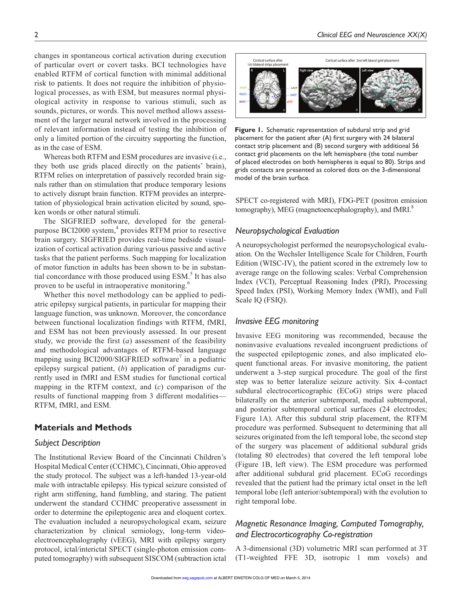changes in spontaneous cortical activation during execution of particular overt or covert tasks. BCI technologies have enabled RTFM of cortical function with minimal additional risk to patients. It does not require the inhibition of physiological processes, as with ESM, but measures normal physiological activity in response to various stimuli, such as sounds, pictures, or words. This novel method allows assessment of the larger neural network involved in the processing of relevant information instead of testing the inhibition of only a limited portion of the circuitry supporting the function, as in the case of ESM.

Whereas both RTFM and ESM procedures are invasive (i.e., they both use grids placed directly on the patients' brain), RTFM relies on interpretation of passively recorded brain signals rather than on stimulation that produce temporary lesions to actively disrupt brain function. RTFM provides an interpretation of physiological brain activation elicited by sound, spoken words or other natural stimuli.

The SIGFRIED software, developed for the generalpurpose BCI2000 system,<sup>4</sup> provides RTFM prior to resective brain surgery. SIGFRIED provides real-time bedside visualization of cortical activation during various passive and active tasks that the patient performs. Such mapping for localization of motor function in adults has been shown to be in substantial concordance with those produced using ESM.<sup>5</sup> It has also proven to be useful in intraoperative monitoring.<sup>6</sup>

Whether this novel methodology can be applied to pediatric epilepsy surgical patients, in particular for mapping their language function, was unknown. Moreover, the concordance between functional localization findings with RTFM, fMRI, and ESM has not been previously assessed. In our present study, we provide the first (*a*) assessment of the feasibility and methodological advantages of RTFM-based language mapping using BCI2000/SIGFRIED software<sup>7</sup> in a pediatric epilepsy surgical patient, (*b*) application of paradigms currently used in fMRI and ESM studies for functional cortical mapping in the RTFM context, and (*c*) comparison of the results of functional mapping from 3 different modalities— RTFM, fMRI, and ESM.

#### **Materials and Methods**

#### *Subject Description*

The Institutional Review Board of the Cincinnati Children's Hospital Medical Center (CCHMC), Cincinnati, Ohio approved the study protocol. The subject was a left-handed 13-year-old male with intractable epilepsy. His typical seizure consisted of right arm stiffening, hand fumbling, and staring. The patient underwent the standard CCHMC preoperative assessment in order to determine the epileptogenic area and eloquent cortex. The evaluation included a neuropsychological exam, seizure characterization by clinical semiology, long-term videoelectroencephalography (vEEG), MRI with epilepsy surgery protocol, ictal/interictal SPECT (single-photon emission computed tomography) with subsequent SISCOM (subtraction ictal



**Figure 1.** Schematic representation of subdural strip and grid placement for the patient after (A) first surgery with 24 bilateral contact strip placement and (B) second surgery with additional 56 contact grid placements on the left hemisphere (the total number of placed electrodes on both hemispheres is equal to 80). Strips and grids contacts are presented as colored dots on the 3-dimensional model of the brain surface.

SPECT co-registered with MRI), FDG-PET (positron emission tomography), MEG (magnetoencephalography), and fMRI.<sup>8</sup>

#### *Neuropsychological Evaluation*

A neuropsychologist performed the neuropsychological evaluation. On the Wechsler Intelligence Scale for Children, Fourth Edition (WISC-IV), the patient scored in the extremely low to average range on the following scales: Verbal Comprehension Index (VCI), Perceptual Reasoning Index (PRI), Processing Speed Index (PSI), Working Memory Index (WMI), and Full Scale IQ (FSIQ).

#### *Invasive EEG monitoring*

Invasive EEG monitoring was recommended, because the noninvasive evaluations revealed incongruent predictions of the suspected epileptogenic zones, and also implicated eloquent functional areas. For invasive monitoring, the patient underwent a 3-step surgical procedure. The goal of the first step was to better lateralize seizure activity. Six 4-contact subdural electrocorticographic (ECoG) strips were placed bilaterally on the anterior subtemporal, medial subtemporal, and posterior subtemporal cortical surfaces (24 electrodes; Figure 1A). After this subdural strip placement, the RTFM procedure was performed. Subsequent to determining that all seizures originated from the left temporal lobe, the second step of the surgery was placement of additional subdural grids (totaling 80 electrodes) that covered the left temporal lobe (Figure 1B, left view). The ESM procedure was performed after additional subdural grid placement. ECoG recordings revealed that the patient had the primary ictal onset in the left temporal lobe (left anterior/subtemporal) with the evolution to right temporal lobe.

# *Magnetic Resonance Imaging, Computed Tomography, and Electrocorticography Co-registration*

A 3-dimensional (3D) volumetric MRI scan performed at 3T [\(T1-weight](http://eeg.sagepub.com/)ed FFE 3D, isotropic 1 mm voxels) and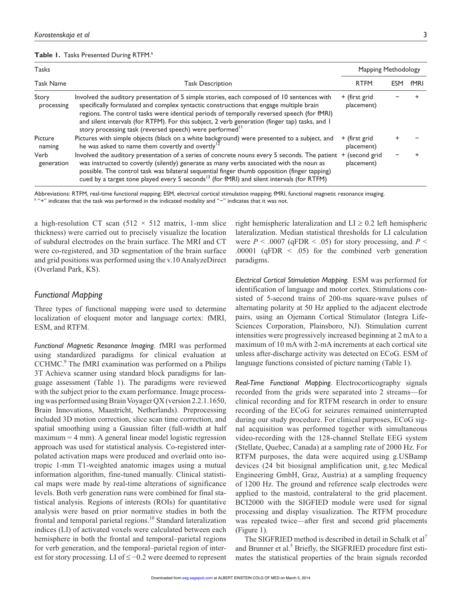#### Table 1. Tasks Presented During RTFM.<sup>a</sup>

| Tasks               |                                                                                                                                                                                                                                                                                                                                                                                                                                                              | <b>Mapping Methodology</b>   |     |      |
|---------------------|--------------------------------------------------------------------------------------------------------------------------------------------------------------------------------------------------------------------------------------------------------------------------------------------------------------------------------------------------------------------------------------------------------------------------------------------------------------|------------------------------|-----|------|
| <b>Task Name</b>    | <b>Task Description</b>                                                                                                                                                                                                                                                                                                                                                                                                                                      | <b>RTFM</b>                  | ESM | fMRI |
| Story<br>processing | Involved the auditory presentation of 5 simple stories, each composed of 10 sentences with<br>specifically formulated and complex syntactic constructions that engage multiple brain<br>regions. The control tasks were identical periods of temporally reversed speech (for fMRI)<br>and silent intervals (for RTFM). For this subject, 2 verb generation (finger tap) tasks, and I<br>story processing task (reversed speech) were performed <sup>11</sup> | + (first grid<br>placement)  |     |      |
| Picture<br>naming   | Pictures with simple objects (black on a white background) were presented to a subject, and<br>he was asked to name them covertly and overtly <sup>17</sup>                                                                                                                                                                                                                                                                                                  | + (first grid<br>placement)  |     |      |
| Verb<br>generation  | Involved the auditory presentation of a series of concrete nouns every 5 seconds. The patient<br>was instructed to covertly (silently) generate as many verbs associated with the noun as<br>possible. The control task was bilateral sequential finger thumb opposition (finger tapping)<br>cued by a target tone played every 5 seconds <sup>13</sup> (for fMRI) and silent intervals (for RTFM)                                                           | + (second grid<br>placement) |     |      |

Abbreviations: RTFM, real-time functional mapping; ESM, electrical cortical stimulation mapping; fMRI, functional magnetic resonance imaging.

<sup>a</sup> "+" indicates that the task was performed in the indicated modality and "−" indicates that it was not.

a high-resolution CT scan  $(512 \times 512$  matrix, 1-mm slice thickness) were carried out to precisely visualize the location of subdural electrodes on the brain surface. The MRI and CT were co-registered, and 3D segmentation of the brain surface and grid positions was performed using the v.10 AnalyzeDirect (Overland Park, KS).

# *Functional Mapping*

Three types of functional mapping were used to determine localization of eloquent motor and language cortex: fMRI, ESM, and RTFM.

*Functional Magnetic Resonance Imaging.* fMRI was performed using standardized paradigms for clinical evaluation at CCHMC.<sup>9</sup> The fMRI examination was performed on a Philips 3T Achieva scanner using standard block paradigms for language assessment (Table 1). The paradigms were reviewed with the subject prior to the exam performance. Image processing was performed using Brain Voyager QX (version 2.2.1.1650, Brain Innovations, Maastricht, Netherlands). Preprocessing included 3D motion correction, slice scan time correction, and spatial smoothing using a Gaussian filter (full-width at half  $maximum = 4 mm$ ). A general linear model logistic regression approach was used for statistical analysis. Co-registered interpolated activation maps were produced and overlaid onto isotropic 1-mm T1-weighted anatomic images using a mutual information algorithm, fine-tuned manually. Clinical statistical maps were made by real-time alterations of significance levels. Both verb generation runs were combined for final statistical analysis. Regions of interests (ROIs) for quantitative analysis were based on prior normative studies in both the frontal and temporal parietal regions.<sup>10</sup> Standard lateralization indices (LI) of activated voxels were calculated between each hemisphere in both the frontal and temporal–parietal regions for verb generation, and the temporal–parietal region of interest for story processing. LI of  $\leq$  -0.2 were deemed to represent

right hemispheric lateralization and  $LI \ge 0.2$  left hemispheric lateralization. Median statistical thresholds for LI calculation were  $P < .0007$  (qFDR  $< .05$ ) for story processing, and  $P <$ .00001 (qFDR < .05) for the combined verb generation paradigms.

*Electrical Cortical Stimulation Mapping.* ESM was performed for identification of language and motor cortex. Stimulations consisted of 5-second trains of 200-ms square-wave pulses of alternating polarity at 50 Hz applied to the adjacent electrode pairs, using an Ojemann Cortical Stimulator (Integra Life-Sciences Corporation, Plainsboro, NJ). Stimulation current intensities were progressively increased beginning at 2 mA to a maximum of 10 mA with 2-mA increments at each cortical site unless after-discharge activity was detected on ECoG. ESM of language functions consisted of picture naming (Table 1).

*Real-Time Functional Mapping.* Electrocorticography signals recorded from the grids were separated into 2 streams—for clinical recording and for RTFM research in order to ensure recording of the ECoG for seizures remained uninterrupted during our study procedure. For clinical purposes, ECoG signal acquisition was performed together with simultaneous video-recording with the 128-channel Stellate EEG system (Stellate, Quebec, Canada) at a sampling rate of 2000 Hz. For RTFM purposes, the data were acquired using g.USBamp devices (24 bit biosignal amplification unit, g.tec Medical Engineering GmbH, Graz, Austria) at a sampling frequency of 1200 Hz. The ground and reference scalp electrodes were applied to the mastoid, contralateral to the grid placement. BCI2000 with the SIGFIED module were used for signal processing and display visualization. The RTFM procedure was repeated twice—after first and second grid placements (Figure 1).

The SIGFRIED method is described in detail in Schalk et al<sup>7</sup> and Brunner et al.<sup>5</sup> Briefly, the SIGFRIED procedure first esti[mates the s](http://eeg.sagepub.com/)tatistical properties of the brain signals recorded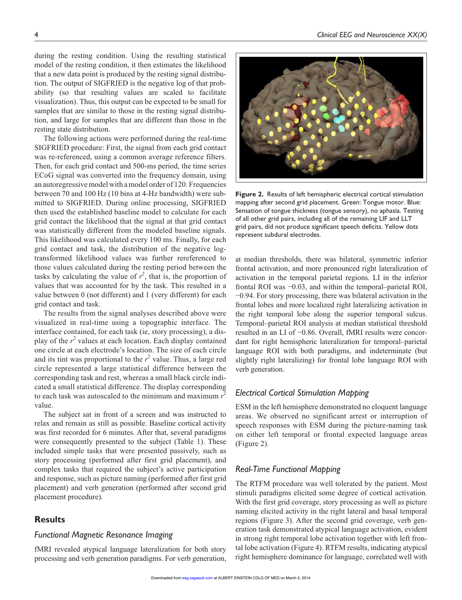during the resting condition. Using the resulting statistical model of the resting condition, it then estimates the likelihood that a new data point is produced by the resting signal distribution. The output of SIGFRIED is the negative log of that probability (so that resulting values are scaled to facilitate visualization). Thus, this output can be expected to be small for samples that are similar to those in the resting signal distribution, and large for samples that are different than those in the resting state distribution.

The following actions were performed during the real-time SIGFRIED procedure: First, the signal from each grid contact was re-referenced, using a common average reference filters. Then, for each grid contact and 500-ms period, the time series ECoG signal was converted into the frequency domain, using an autoregressive model with a model order of 120. Frequencies between 70 and 100 Hz (10 bins at 4-Hz bandwidth) were submitted to SIGFRIED. During online processing, SIGFRIED then used the established baseline model to calculate for each grid contact the likelihood that the signal at that grid contact was statistically different from the modeled baseline signals. This likelihood was calculated every 100 ms. Finally, for each grid contact and task, the distribution of the negative logtransformed likelihood values was further rereferenced to those values calculated during the resting period between the tasks by calculating the value of  $r^2$ , that is, the proportion of values that was accounted for by the task. This resulted in a value between 0 (not different) and 1 (very different) for each grid contact and task.

The results from the signal analyses described above were visualized in real-time using a topographic interface. The interface contained, for each task (ie, story processing), a display of the  $r^2$  values at each location. Each display contained one circle at each electrode's location. The size of each circle and its tint was proportional to the  $r^2$  value. Thus, a large red circle represented a large statistical difference between the corresponding task and rest, whereas a small black circle indicated a small statistical difference. The display corresponding to each task was autoscaled to the minimum and maximum *r* 2 value.

The subject sat in front of a screen and was instructed to relax and remain as still as possible. Baseline cortical activity was first recorded for 6 minutes. After that, several paradigms were consequently presented to the subject (Table 1). These included simple tasks that were presented passively, such as story processing (performed after first grid placement), and complex tasks that required the subject's active participation and response, such as picture naming (performed after first grid placement) and verb generation (performed after second grid placement procedure).

# **Results**

#### *Functional Magnetic Resonance Imaging*

fMRI revealed atypical language lateralization for both story processing and verb generation paradigms. For verb generation,



**Figure 2.** Results of left hemispheric electrical cortical stimulation mapping after second grid placement. Green: Tongue motor. Blue: Sensation of tongue thickness (tongue sensory), no aphasia. Testing of all other grid pairs, including all of the remaining LIF and LLT grid pairs, did not produce significant speech deficits. Yellow dots represent subdural electrodes.

at median thresholds, there was bilateral, symmetric inferior frontal activation, and more pronounced right lateralization of activation in the temporal parietal regions. LI in the inferior frontal ROI was −0.03, and within the temporal–parietal ROI, −0.94. For story processing, there was bilateral activation in the frontal lobes and more localized right lateralizing activation in the right temporal lobe along the superior temporal sulcus. Temporal–parietal ROI analysis at median statistical threshold resulted in an LI of −0.86. Overall, fMRI results were concordant for right hemispheric lateralization for temporal–parietal language ROI with both paradigms, and indeterminate (but slightly right lateralizing) for frontal lobe language ROI with verb generation.

# *Electrical Cortical Stimulation Mapping*

ESM in the left hemisphere demonstrated no eloquent language areas. We observed no significant arrest or interruption of speech responses with ESM during the picture-naming task on either left temporal or frontal expected language areas (Figure 2).

# *Real-Time Functional Mapping*

The RTFM procedure was well tolerated by the patient. Most stimuli paradigms elicited some degree of cortical activation. With the first grid coverage, story processing as well as picture naming elicited activity in the right lateral and basal temporal regions (Figure 3). After the second grid coverage, verb generation task demonstrated atypical language activation, evident in strong right temporal lobe activation together with left frontal lobe activation (Figure 4). RTFM results, indicating atypical [right hemis](http://eeg.sagepub.com/)phere dominance for language, correlated well with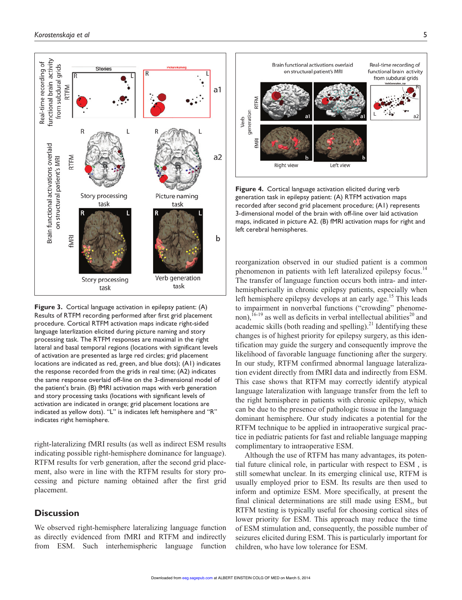

**Figure 3.** Cortical language activation in epilepsy patient: (A) Results of RTFM recording performed after first grid placement procedure. Cortical RTFM activation maps indicate right-sided language laterlization elicited during picture naming and story processing task. The RTFM responses are maximal in the right lateral and basal temporal regions (locations with significant levels of activation are presented as large red circles; grid placement locations are indicated as red, green, and blue dots); (A1) indicates the response recorded from the grids in real time; (A2) indicates the same response overlaid off-line on the 3-dimensional model of the patient's brain. (B) fMRI activation maps with verb generation and story processing tasks (locations with significant levels of activation are indicated in orange; grid placement locations are indicated as yellow dots). "L" is indicates left hemisphere and "R" indicates right hemisphere.

right-lateralizing fMRI results (as well as indirect ESM results indicating possible right-hemisphere dominance for language). RTFM results for verb generation, after the second grid placement, also were in line with the RTFM results for story processing and picture naming obtained after the first grid placement.

# **Discussion**

We observed right-hemisphere lateralizing language function as directly evidenced from fMRI and RTFM and indirectly from ESM. Such interhemispheric language function



**Figure 4.** Cortical language activation elicited during verb generation task in epilepsy patient: (A) RTFM activation maps recorded after second grid placement procedure; (A1) represents 3-dimensional model of the brain with off-line over laid activation maps, indicated in picture A2. (B) fMRI activation maps for right and left cerebral hemispheres.

reorganization observed in our studied patient is a common phenomenon in patients with left lateralized epilepsy focus.<sup>14</sup> The transfer of language function occurs both intra- and interhemispherically in chronic epilepsy patients, especially when left hemisphere epilepsy develops at an early age.<sup>15</sup> This leads to impairment in nonverbal functions ("crowding" phenomenon),  $16-19$  as well as deficits in verbal intellectual abilities<sup>20</sup> and academic skills (both reading and spelling). $^{21}$  Identifying these changes is of highest priority for epilepsy surgery, as this identification may guide the surgery and consequently improve the likelihood of favorable language functioning after the surgery. In our study, RTFM confirmed abnormal language lateralization evident directly from fMRI data and indirectly from ESM. This case shows that RTFM may correctly identify atypical language lateralization with language transfer from the left to the right hemisphere in patients with chronic epilepsy, which can be due to the presence of pathologic tissue in the language dominant hemisphere. Our study indicates a potential for the RTFM technique to be applied in intraoperative surgical practice in pediatric patients for fast and reliable language mapping complimentary to intraoperative ESM.

Although the use of RTFM has many advantages, its potential future clinical role, in particular with respect to ESM , is still somewhat unclear. In its emerging clinical use, RTFM is usually employed prior to ESM. Its results are then used to inform and optimize ESM. More specifically, at present the final clinical determinations are still made using ESM,, but RTFM testing is typically useful for choosing cortical sites of lower priority for ESM. This approach may reduce the time of ESM stimulation and, consequently, the possible number of seizures elicited during ESM. This is particularly important for [children, w](http://eeg.sagepub.com/)ho have low tolerance for ESM.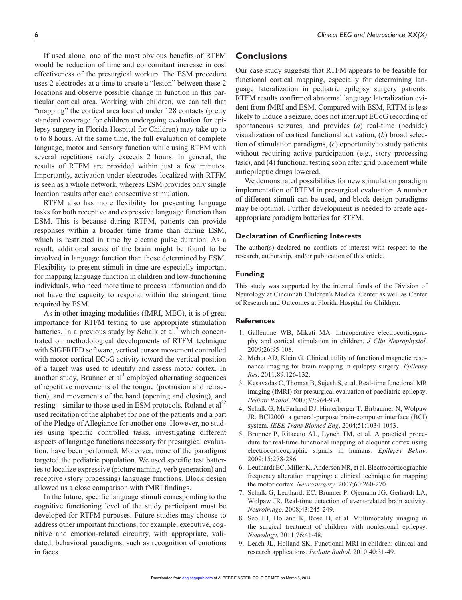If used alone, one of the most obvious benefits of RTFM would be reduction of time and concomitant increase in cost effectiveness of the presurgical workup. The ESM procedure uses 2 electrodes at a time to create a "lesion" between these 2 locations and observe possible change in function in this particular cortical area. Working with children, we can tell that "mapping" the cortical area located under 128 contacts (pretty standard coverage for children undergoing evaluation for epilepsy surgery in Florida Hospital for Children) may take up to 6 to 8 hours. At the same time, the full evaluation of complete language, motor and sensory function while using RTFM with several repetitions rarely exceeds 2 hours. In general, the results of RTFM are provided within just a few minutes. Importantly, activation under electrodes localized with RTFM is seen as a whole network, whereas ESM provides only single location results after each consecutive stimulation.

RTFM also has more flexibility for presenting language tasks for both receptive and expressive language function than ESM. This is because during RTFM, patients can provide responses within a broader time frame than during ESM, which is restricted in time by electric pulse duration. As a result, additional areas of the brain might be found to be involved in language function than those determined by ESM. Flexibility to present stimuli in time are especially important for mapping language function in children and low-functioning individuals, who need more time to process information and do not have the capacity to respond within the stringent time required by ESM.

As in other imaging modalities (fMRI, MEG), it is of great importance for RTFM testing to use appropriate stimulation batteries. In a previous study by Schalk et al, $^7$  which concentrated on methodological developments of RTFM technique with SIGFRIED software, vertical cursor movement controlled with motor cortical ECoG activity toward the vertical position of a target was used to identify and assess motor cortex. In another study, Brunner et  $al<sup>5</sup>$  employed alternating sequences of repetitive movements of the tongue (protrusion and retraction), and movements of the hand (opening and closing), and resting – similar to those used in ESM protocols. Roland et  $al^{22}$ used recitation of the alphabet for one of the patients and a part of the Pledge of Allegiance for another one. However, no studies using specific controlled tasks, investigating different aspects of language functions necessary for presurgical evaluation, have been performed. Moreover, none of the paradigms targeted the pediatric population. We used specific test batteries to localize expressive (picture naming, verb generation) and receptive (story processing) language functions. Block design allowed us a close comparison with fMRI findings.

In the future, specific language stimuli corresponding to the cognitive functioning level of the study participant must be developed for RTFM purposes. Future studies may choose to address other important functions, for example, executive, cognitive and emotion-related circuitry, with appropriate, validated, behavioral paradigms, such as recognition of emotions in faces.

# **Conclusions**

Our case study suggests that RTFM appears to be feasible for functional cortical mapping, especially for determining language lateralization in pediatric epilepsy surgery patients. RTFM results confirmed abnormal language lateralization evident from fMRI and ESM. Compared with ESM, RTFM is less likely to induce a seizure, does not interrupt ECoG recording of spontaneous seizures, and provides (*a*) real-time (bedside) visualization of cortical functional activation, (*b*) broad selection of stimulation paradigms, (*c*) opportunity to study patients without requiring active participation (e.g., story processing task), and (4) functional testing soon after grid placement while antiepileptic drugs lowered.

We demonstrated possibilities for new stimulation paradigm implementation of RTFM in presurgical evaluation. A number of different stimuli can be used, and block design paradigms may be optimal. Further development is needed to create ageappropriate paradigm batteries for RTFM.

#### **Declaration of Conflicting Interests**

The author(s) declared no conflicts of interest with respect to the research, authorship, and/or publication of this article.

#### **Funding**

This study was supported by the internal funds of the Division of Neurology at Cincinnati Children's Medical Center as well as Center of Research and Outcomes at Florida Hospital for Children.

#### **References**

- 1. Gallentine WB, Mikati MA. Intraoperative electrocorticography and cortical stimulation in children. *J Clin Neurophysiol*. 2009;26:95-108.
- 2. Mehta AD, Klein G. Clinical utility of functional magnetic resonance imaging for brain mapping in epilepsy surgery. *Epilepsy Res*. 2011;89:126-132.
- 3. Kesavadas C, Thomas B, Sujesh S, et al. Real-time functional MR imaging (fMRI) for presurgical evaluation of paediatric epilepsy. *Pediatr Radiol*. 2007;37:964-974.
- 4. Schalk G, McFarland DJ, Hinterberger T, Birbaumer N, Wolpaw JR. BCI2000: a general-purpose brain-computer interface (BCI) system. *IEEE Trans Biomed Eng*. 2004;51:1034-1043.
- 5. Brunner P, Ritaccio AL, Lynch TM, et al. A practical procedure for real-time functional mapping of eloquent cortex using electrocorticographic signals in humans. *Epilepsy Behav*. 2009;15:278-286.
- 6. Leuthardt EC, Miller K, Anderson NR, et al. Electrocorticographic frequency alteration mapping: a clinical technique for mapping the motor cortex. *Neurosurgery*. 2007;60:260-270.
- 7. Schalk G, Leuthardt EC, Brunner P, Ojemann JG, Gerhardt LA, Wolpaw JR. Real-time detection of event-related brain activity. *Neuroimage*. 2008;43:245-249.
- 8. Seo JH, Holland K, Rose D, et al. Multimodality imaging in the surgical treatment of children with nonlesional epilepsy. *Neurology*. 2011;76:41-48.
- 9. Leach JL, Holland SK. Functional MRI in children: clinical and [research](http://eeg.sagepub.com/) applications. *Pediatr Radiol*. 2010;40:31-49.